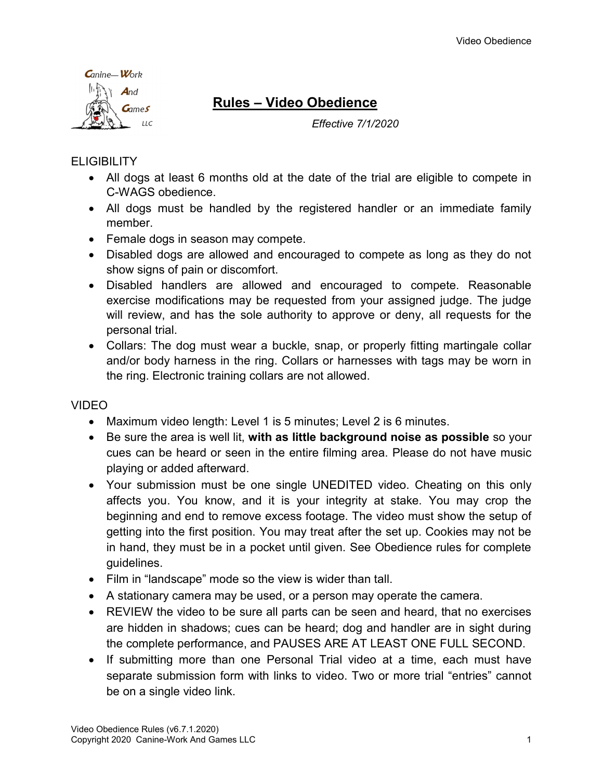

# Rules – Video Obedience

Effective 7/1/2020

## **FLIGIBILITY**

- All dogs at least 6 months old at the date of the trial are eligible to compete in C-WAGS obedience.
- All dogs must be handled by the registered handler or an immediate family member.
- Female dogs in season may compete.
- Disabled dogs are allowed and encouraged to compete as long as they do not show signs of pain or discomfort.
- Disabled handlers are allowed and encouraged to compete. Reasonable exercise modifications may be requested from your assigned judge. The judge will review, and has the sole authority to approve or deny, all requests for the personal trial.
- Collars: The dog must wear a buckle, snap, or properly fitting martingale collar and/or body harness in the ring. Collars or harnesses with tags may be worn in the ring. Electronic training collars are not allowed.

## VIDEO

- Maximum video length: Level 1 is 5 minutes; Level 2 is 6 minutes.
- Be sure the area is well lit, with as little background noise as possible so your cues can be heard or seen in the entire filming area. Please do not have music playing or added afterward.
- Your submission must be one single UNEDITED video. Cheating on this only affects you. You know, and it is your integrity at stake. You may crop the beginning and end to remove excess footage. The video must show the setup of getting into the first position. You may treat after the set up. Cookies may not be in hand, they must be in a pocket until given. See Obedience rules for complete guidelines.
- Film in "landscape" mode so the view is wider than tall.
- A stationary camera may be used, or a person may operate the camera.
- REVIEW the video to be sure all parts can be seen and heard, that no exercises are hidden in shadows; cues can be heard; dog and handler are in sight during the complete performance, and PAUSES ARE AT LEAST ONE FULL SECOND.
- If submitting more than one Personal Trial video at a time, each must have separate submission form with links to video. Two or more trial "entries" cannot be on a single video link.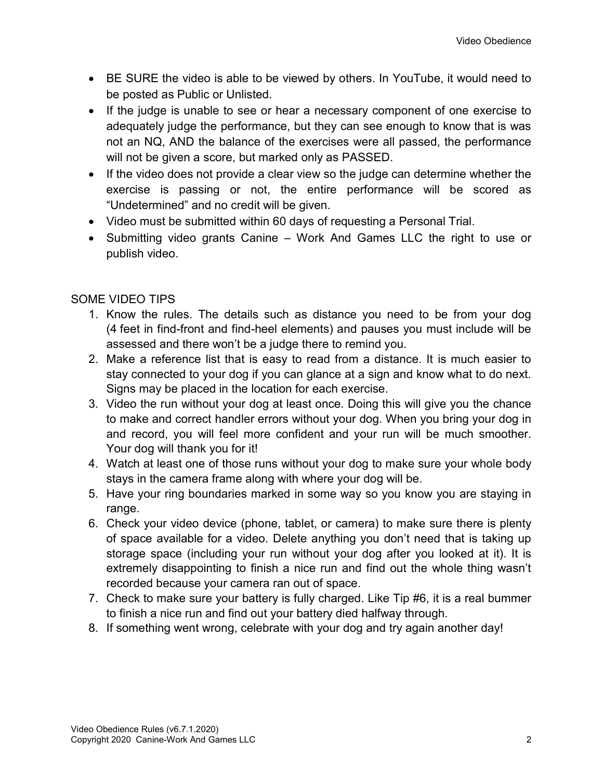- BE SURE the video is able to be viewed by others. In YouTube, it would need to be posted as Public or Unlisted.
- If the judge is unable to see or hear a necessary component of one exercise to adequately judge the performance, but they can see enough to know that is was not an NQ, AND the balance of the exercises were all passed, the performance will not be given a score, but marked only as PASSED.
- If the video does not provide a clear view so the judge can determine whether the exercise is passing or not, the entire performance will be scored as "Undetermined" and no credit will be given.
- Video must be submitted within 60 days of requesting a Personal Trial.
- Submitting video grants Canine Work And Games LLC the right to use or publish video.

## SOME VIDEO TIPS

- 1. Know the rules. The details such as distance you need to be from your dog (4 feet in find-front and find-heel elements) and pauses you must include will be assessed and there won't be a judge there to remind you.
- 2. Make a reference list that is easy to read from a distance. It is much easier to stay connected to your dog if you can glance at a sign and know what to do next. Signs may be placed in the location for each exercise.
- 3. Video the run without your dog at least once. Doing this will give you the chance to make and correct handler errors without your dog. When you bring your dog in and record, you will feel more confident and your run will be much smoother. Your dog will thank you for it!
- 4. Watch at least one of those runs without your dog to make sure your whole body stays in the camera frame along with where your dog will be.
- 5. Have your ring boundaries marked in some way so you know you are staying in range.
- 6. Check your video device (phone, tablet, or camera) to make sure there is plenty of space available for a video. Delete anything you don't need that is taking up storage space (including your run without your dog after you looked at it). It is extremely disappointing to finish a nice run and find out the whole thing wasn't recorded because your camera ran out of space.
- 7. Check to make sure your battery is fully charged. Like Tip #6, it is a real bummer to finish a nice run and find out your battery died halfway through.
- 8. If something went wrong, celebrate with your dog and try again another day!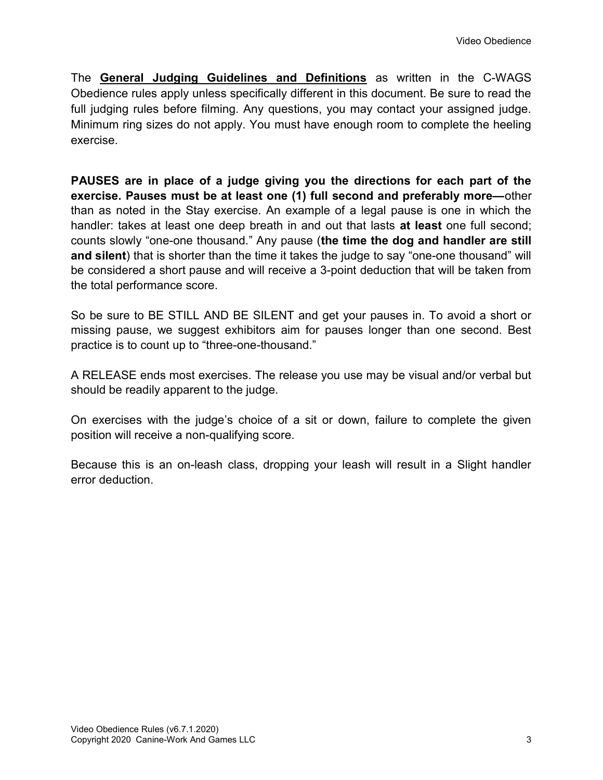The General Judging Guidelines and Definitions as written in the C-WAGS Obedience rules apply unless specifically different in this document. Be sure to read the full judging rules before filming. Any questions, you may contact your assigned judge. Minimum ring sizes do not apply. You must have enough room to complete the heeling exercise.

PAUSES are in place of a judge giving you the directions for each part of the exercise. Pauses must be at least one (1) full second and preferably more—other than as noted in the Stay exercise. An example of a legal pause is one in which the handler: takes at least one deep breath in and out that lasts at least one full second; counts slowly "one-one thousand." Any pause (the time the dog and handler are still and silent) that is shorter than the time it takes the judge to say "one-one thousand" will be considered a short pause and will receive a 3-point deduction that will be taken from the total performance score.

So be sure to BE STILL AND BE SILENT and get your pauses in. To avoid a short or missing pause, we suggest exhibitors aim for pauses longer than one second. Best practice is to count up to "three-one-thousand."

A RELEASE ends most exercises. The release you use may be visual and/or verbal but should be readily apparent to the judge.

On exercises with the judge's choice of a sit or down, failure to complete the given position will receive a non-qualifying score.

Because this is an on-leash class, dropping your leash will result in a Slight handler error deduction.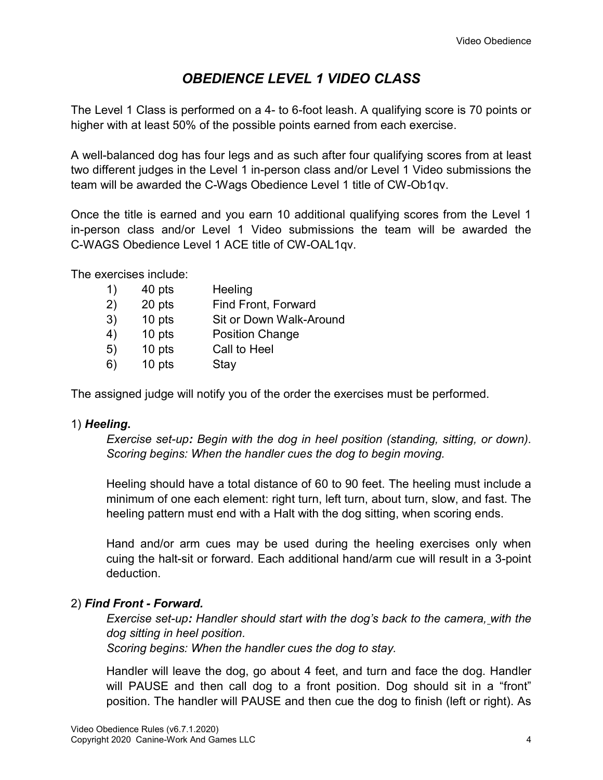## OBEDIENCE LEVEL 1 VIDEO CLASS

The Level 1 Class is performed on a 4- to 6-foot leash. A qualifying score is 70 points or higher with at least 50% of the possible points earned from each exercise.

A well-balanced dog has four legs and as such after four qualifying scores from at least two different judges in the Level 1 in-person class and/or Level 1 Video submissions the team will be awarded the C-Wags Obedience Level 1 title of CW-Ob1qv.

Once the title is earned and you earn 10 additional qualifying scores from the Level 1 in-person class and/or Level 1 Video submissions the team will be awarded the C-WAGS Obedience Level 1 ACE title of CW-OAL1qv.

The exercises include:

| 40 pts | Heeling                 |
|--------|-------------------------|
| 20 pts | Find Front, Forward     |
| 10 pts | Sit or Down Walk-Around |
| 10 pts | <b>Position Change</b>  |
| 10 pts | Call to Heel            |
|        | Stay                    |
|        | 3)<br>10 pts            |

The assigned judge will notify you of the order the exercises must be performed.

#### 1) Heeling.

Exercise set-up: Begin with the dog in heel position (standing, sitting, or down). Scoring begins: When the handler cues the dog to begin moving.

Heeling should have a total distance of 60 to 90 feet. The heeling must include a minimum of one each element: right turn, left turn, about turn, slow, and fast. The heeling pattern must end with a Halt with the dog sitting, when scoring ends.

Hand and/or arm cues may be used during the heeling exercises only when cuing the halt-sit or forward. Each additional hand/arm cue will result in a 3-point deduction.

## 2) Find Front - Forward.

Exercise set-up: Handler should start with the dog's back to the camera, with the dog sitting in heel position.

Scoring begins: When the handler cues the dog to stay.

Handler will leave the dog, go about 4 feet, and turn and face the dog. Handler will PAUSE and then call dog to a front position. Dog should sit in a "front" position. The handler will PAUSE and then cue the dog to finish (left or right). As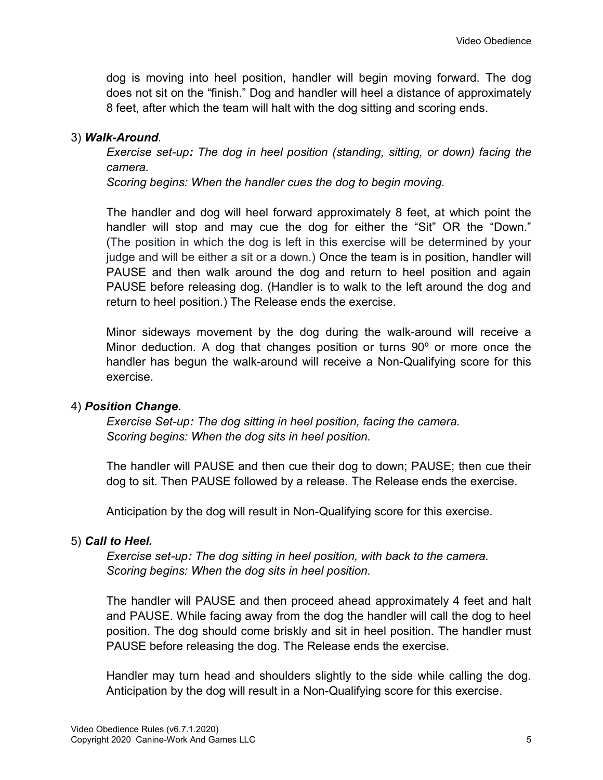dog is moving into heel position, handler will begin moving forward. The dog does not sit on the "finish." Dog and handler will heel a distance of approximately 8 feet, after which the team will halt with the dog sitting and scoring ends.

#### 3) Walk-Around.

Exercise set-up: The dog in heel position (standing, sitting, or down) facing the camera.

Scoring begins: When the handler cues the dog to begin moving.

The handler and dog will heel forward approximately 8 feet, at which point the handler will stop and may cue the dog for either the "Sit" OR the "Down." (The position in which the dog is left in this exercise will be determined by your judge and will be either a sit or a down.) Once the team is in position, handler will PAUSE and then walk around the dog and return to heel position and again PAUSE before releasing dog. (Handler is to walk to the left around the dog and return to heel position.) The Release ends the exercise.

Minor sideways movement by the dog during the walk-around will receive a Minor deduction. A dog that changes position or turns 90º or more once the handler has begun the walk-around will receive a Non-Qualifying score for this exercise.

#### 4) Position Change.

Exercise Set-up: The dog sitting in heel position, facing the camera. Scoring begins: When the dog sits in heel position.

The handler will PAUSE and then cue their dog to down; PAUSE; then cue their dog to sit. Then PAUSE followed by a release. The Release ends the exercise.

Anticipation by the dog will result in Non-Qualifying score for this exercise.

#### 5) Call to Heel.

Exercise set-up: The dog sitting in heel position, with back to the camera. Scoring begins: When the dog sits in heel position.

The handler will PAUSE and then proceed ahead approximately 4 feet and halt and PAUSE. While facing away from the dog the handler will call the dog to heel position. The dog should come briskly and sit in heel position. The handler must PAUSE before releasing the dog. The Release ends the exercise.

Handler may turn head and shoulders slightly to the side while calling the dog. Anticipation by the dog will result in a Non-Qualifying score for this exercise.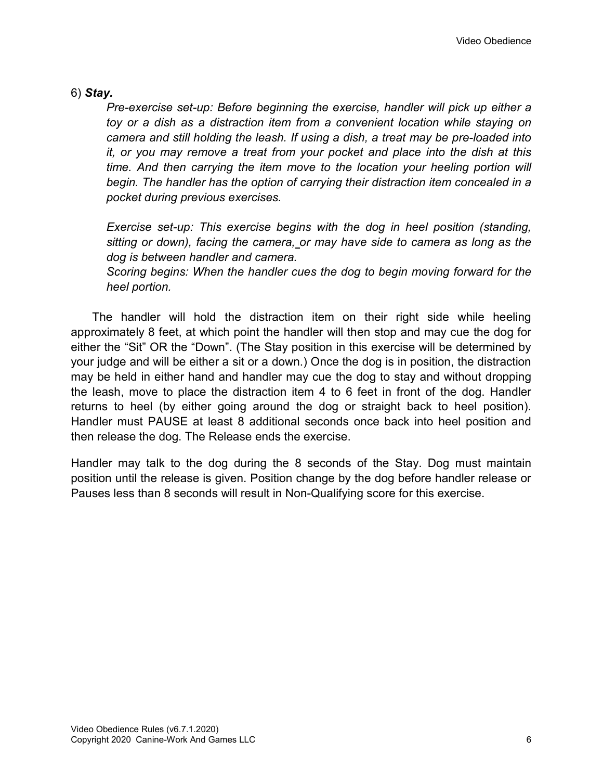#### 6) Stay.

Pre-exercise set-up: Before beginning the exercise, handler will pick up either a toy or a dish as a distraction item from a convenient location while staying on camera and still holding the leash. If using a dish, a treat may be pre-loaded into it, or you may remove a treat from your pocket and place into the dish at this time. And then carrying the item move to the location your heeling portion will begin. The handler has the option of carrying their distraction item concealed in a pocket during previous exercises.

Exercise set-up: This exercise begins with the dog in heel position (standing, sitting or down), facing the camera, or may have side to camera as long as the dog is between handler and camera.

Scoring begins: When the handler cues the dog to begin moving forward for the heel portion.

The handler will hold the distraction item on their right side while heeling approximately 8 feet, at which point the handler will then stop and may cue the dog for either the "Sit" OR the "Down". (The Stay position in this exercise will be determined by your judge and will be either a sit or a down.) Once the dog is in position, the distraction may be held in either hand and handler may cue the dog to stay and without dropping the leash, move to place the distraction item 4 to 6 feet in front of the dog. Handler returns to heel (by either going around the dog or straight back to heel position). Handler must PAUSE at least 8 additional seconds once back into heel position and then release the dog. The Release ends the exercise.

Handler may talk to the dog during the 8 seconds of the Stay. Dog must maintain position until the release is given. Position change by the dog before handler release or Pauses less than 8 seconds will result in Non-Qualifying score for this exercise.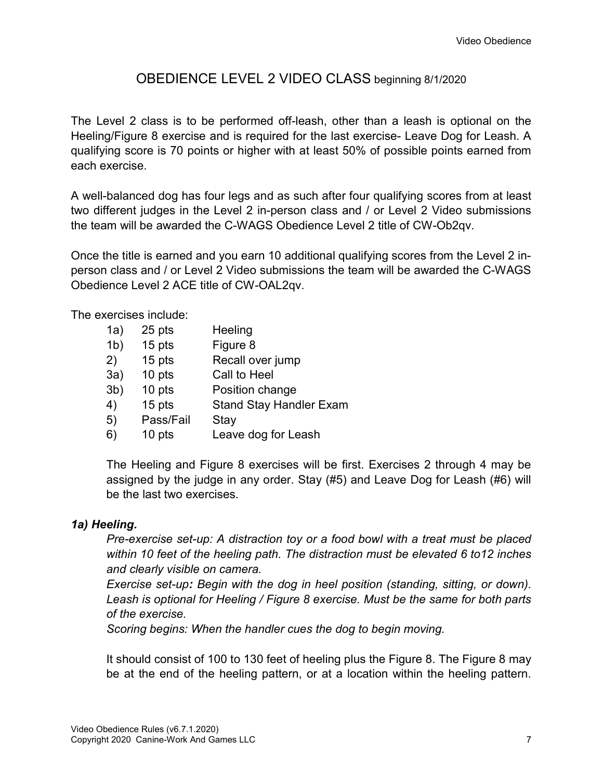## OBEDIENCE LEVEL 2 VIDEO CLASS beginning 8/1/2020

The Level 2 class is to be performed off-leash, other than a leash is optional on the Heeling/Figure 8 exercise and is required for the last exercise- Leave Dog for Leash. A qualifying score is 70 points or higher with at least 50% of possible points earned from each exercise.

A well-balanced dog has four legs and as such after four qualifying scores from at least two different judges in the Level 2 in-person class and / or Level 2 Video submissions the team will be awarded the C-WAGS Obedience Level 2 title of CW-Ob2qv.

Once the title is earned and you earn 10 additional qualifying scores from the Level 2 inperson class and / or Level 2 Video submissions the team will be awarded the C-WAGS Obedience Level 2 ACE title of CW-OAL2qv.

The exercises include:

| 1a)            | 25 pts    | Heeling                        |
|----------------|-----------|--------------------------------|
| 1 <sub>b</sub> | 15 pts    | Figure 8                       |
| 2)             | 15 pts    | Recall over jump               |
| 3a)            | 10 pts    | Call to Heel                   |
| 3 <sub>b</sub> | 10 pts    | Position change                |
| 4)             | 15 pts    | <b>Stand Stay Handler Exam</b> |
| 5)             | Pass/Fail | Stay                           |
| 6)             | 10 pts    | Leave dog for Leash            |
|                |           |                                |

The Heeling and Figure 8 exercises will be first. Exercises 2 through 4 may be assigned by the judge in any order. Stay (#5) and Leave Dog for Leash (#6) will be the last two exercises.

#### 1a) Heeling.

Pre-exercise set-up: A distraction toy or a food bowl with a treat must be placed within 10 feet of the heeling path. The distraction must be elevated 6 to12 inches and clearly visible on camera.

Exercise set-up: Begin with the dog in heel position (standing, sitting, or down). Leash is optional for Heeling / Figure 8 exercise. Must be the same for both parts of the exercise.

Scoring begins: When the handler cues the dog to begin moving.

It should consist of 100 to 130 feet of heeling plus the Figure 8. The Figure 8 may be at the end of the heeling pattern, or at a location within the heeling pattern.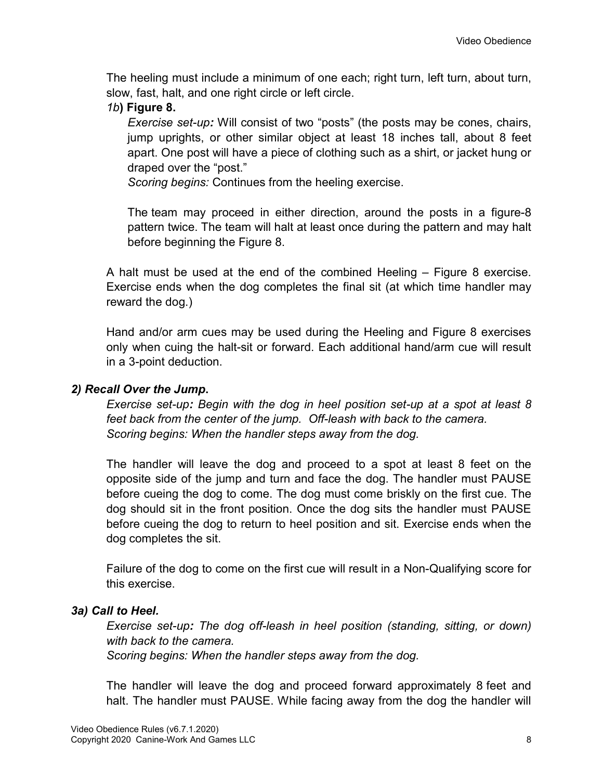The heeling must include a minimum of one each; right turn, left turn, about turn, slow, fast, halt, and one right circle or left circle.

### 1b) Figure 8.

Exercise set-up: Will consist of two "posts" (the posts may be cones, chairs, jump uprights, or other similar object at least 18 inches tall, about 8 feet apart. One post will have a piece of clothing such as a shirt, or jacket hung or draped over the "post."

Scoring begins: Continues from the heeling exercise.

The team may proceed in either direction, around the posts in a figure-8 pattern twice. The team will halt at least once during the pattern and may halt before beginning the Figure 8.

A halt must be used at the end of the combined Heeling – Figure 8 exercise. Exercise ends when the dog completes the final sit (at which time handler may reward the dog.)

Hand and/or arm cues may be used during the Heeling and Figure 8 exercises only when cuing the halt-sit or forward. Each additional hand/arm cue will result in a 3-point deduction.

#### 2) Recall Over the Jump.

Exercise set-up: Begin with the dog in heel position set-up at a spot at least 8 feet back from the center of the jump. Off-leash with back to the camera. Scoring begins: When the handler steps away from the dog.

The handler will leave the dog and proceed to a spot at least 8 feet on the opposite side of the jump and turn and face the dog. The handler must PAUSE before cueing the dog to come. The dog must come briskly on the first cue. The dog should sit in the front position. Once the dog sits the handler must PAUSE before cueing the dog to return to heel position and sit. Exercise ends when the dog completes the sit.

Failure of the dog to come on the first cue will result in a Non-Qualifying score for this exercise.

#### 3a) Call to Heel.

Exercise set-up: The dog off-leash in heel position (standing, sitting, or down) with back to the camera.

Scoring begins: When the handler steps away from the dog.

The handler will leave the dog and proceed forward approximately 8 feet and halt. The handler must PAUSE. While facing away from the dog the handler will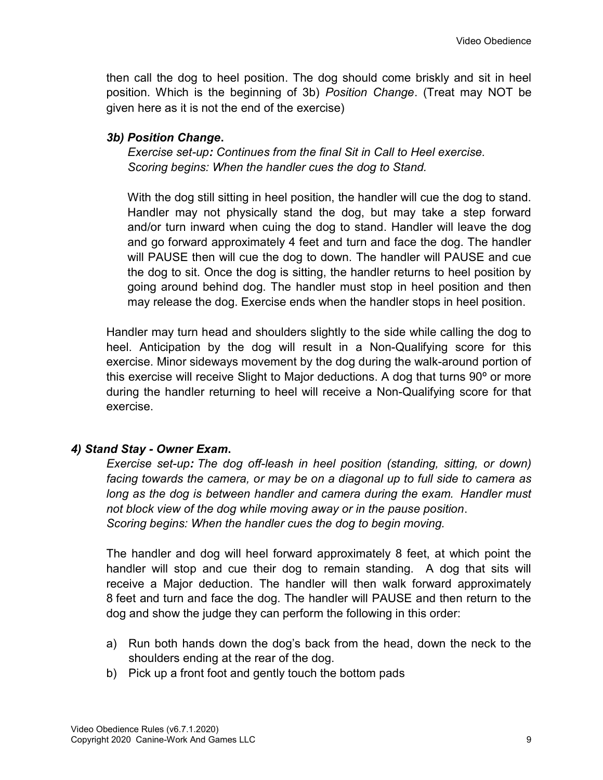then call the dog to heel position. The dog should come briskly and sit in heel position. Which is the beginning of 3b) Position Change. (Treat may NOT be given here as it is not the end of the exercise)

### 3b) Position Change.

Exercise set-up: Continues from the final Sit in Call to Heel exercise. Scoring begins: When the handler cues the dog to Stand.

With the dog still sitting in heel position, the handler will cue the dog to stand. Handler may not physically stand the dog, but may take a step forward and/or turn inward when cuing the dog to stand. Handler will leave the dog and go forward approximately 4 feet and turn and face the dog. The handler will PAUSE then will cue the dog to down. The handler will PAUSE and cue the dog to sit. Once the dog is sitting, the handler returns to heel position by going around behind dog. The handler must stop in heel position and then may release the dog. Exercise ends when the handler stops in heel position.

Handler may turn head and shoulders slightly to the side while calling the dog to heel. Anticipation by the dog will result in a Non-Qualifying score for this exercise. Minor sideways movement by the dog during the walk-around portion of this exercise will receive Slight to Major deductions. A dog that turns 90º or more during the handler returning to heel will receive a Non-Qualifying score for that exercise.

## 4) Stand Stay - Owner Exam.

Exercise set-up: The dog off-leash in heel position (standing, sitting, or down) facing towards the camera, or may be on a diagonal up to full side to camera as long as the dog is between handler and camera during the exam. Handler must not block view of the dog while moving away or in the pause position. Scoring begins: When the handler cues the dog to begin moving.

The handler and dog will heel forward approximately 8 feet, at which point the handler will stop and cue their dog to remain standing. A dog that sits will receive a Major deduction. The handler will then walk forward approximately 8 feet and turn and face the dog. The handler will PAUSE and then return to the dog and show the judge they can perform the following in this order:

- a) Run both hands down the dog's back from the head, down the neck to the shoulders ending at the rear of the dog.
- b) Pick up a front foot and gently touch the bottom pads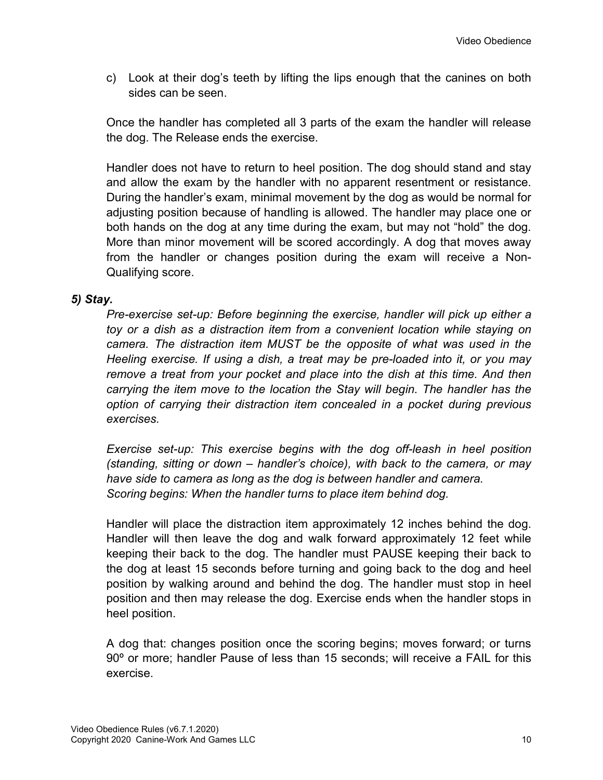c) Look at their dog's teeth by lifting the lips enough that the canines on both sides can be seen.

Once the handler has completed all 3 parts of the exam the handler will release the dog. The Release ends the exercise.

Handler does not have to return to heel position. The dog should stand and stay and allow the exam by the handler with no apparent resentment or resistance. During the handler's exam, minimal movement by the dog as would be normal for adjusting position because of handling is allowed. The handler may place one or both hands on the dog at any time during the exam, but may not "hold" the dog. More than minor movement will be scored accordingly. A dog that moves away from the handler or changes position during the exam will receive a Non-Qualifying score.

#### 5) Stay.

Pre-exercise set-up: Before beginning the exercise, handler will pick up either a toy or a dish as a distraction item from a convenient location while staying on camera. The distraction item MUST be the opposite of what was used in the Heeling exercise. If using a dish, a treat may be pre-loaded into it, or you may remove a treat from your pocket and place into the dish at this time. And then carrying the item move to the location the Stay will begin. The handler has the option of carrying their distraction item concealed in a pocket during previous exercises.

Exercise set-up: This exercise begins with the dog off-leash in heel position (standing, sitting or down – handler's choice), with back to the camera, or may have side to camera as long as the dog is between handler and camera. Scoring begins: When the handler turns to place item behind dog.

Handler will place the distraction item approximately 12 inches behind the dog. Handler will then leave the dog and walk forward approximately 12 feet while keeping their back to the dog. The handler must PAUSE keeping their back to the dog at least 15 seconds before turning and going back to the dog and heel position by walking around and behind the dog. The handler must stop in heel position and then may release the dog. Exercise ends when the handler stops in heel position.

A dog that: changes position once the scoring begins; moves forward; or turns 90º or more; handler Pause of less than 15 seconds; will receive a FAIL for this exercise.